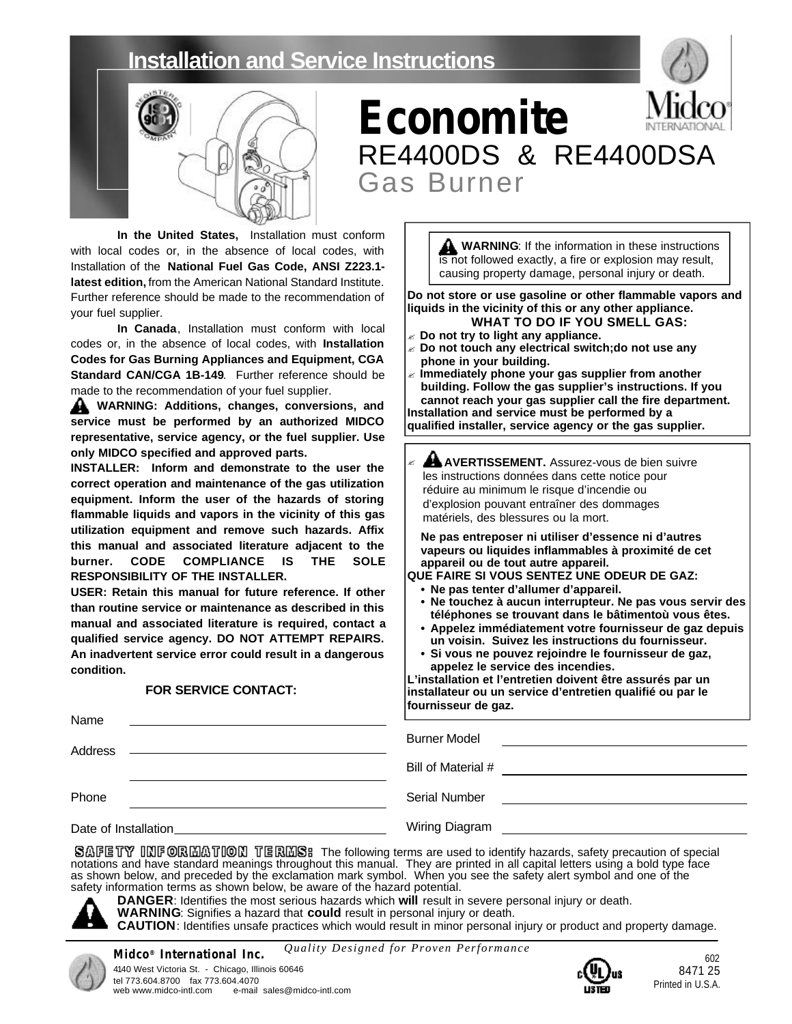# **Installation and Service Instructions**



# **Economite** RE4400DS & RE4400DSA Gas Burner

**In the United States,** Installation must conform with local codes or, in the absence of local codes, with Installation of the **National Fuel Gas Code, ANSI Z223.1 latest edition,** from the American National Standard Institute. Further reference should be made to the recommendation of your fuel supplier.

**In Canada**, Installation must conform with local codes or, in the absence of local codes, with **Installation Codes for Gas Burning Appliances and Equipment, CGA Standard CAN/CGA 1B-149**. Further reference should be made to the recommendation of your fuel supplier.

**WARNING: Additions, changes, conversions, and service must be performed by an authorized MIDCO representative, service agency, or the fuel supplier. Use only MIDCO specified and approved parts.**

**INSTALLER: Inform and demonstrate to the user the correct operation and maintenance of the gas utilization equipment. Inform the user of the hazards of storing flammable liquids and vapors in the vicinity of this gas utilization equipment and remove such hazards. Affix this manual and associated literature adjacent to the burner. CODE COMPLIANCE IS THE SOLE RESPONSIBILITY OF THE INSTALLER.**

**USER: Retain this manual for future reference. If other than routine service or maintenance as described in this manual and associated literature is required, contact a qualified service agency. DO NOT ATTEMPT REPAIRS. An inadvertent service error could result in a dangerous condition.**

#### **FOR SERVICE CONTACT:**

| WARNING: If the information in these instructions        |
|----------------------------------------------------------|
| is not followed exactly, a fire or explosion may result, |
|                                                          |
| causing property damage, personal injury or death.       |

**Do not store or use gasoline or other flammable vapors and liquids in the vicinity of this or any other appliance. WHAT TO DO IF YOU SMELL GAS:**

- ? **Do not try to light any appliance.**
- ? **Do not touch any electrical switch;do not use any phone in your building.**
- ? **Immediately phone your gas supplier from another building. Follow the gas supplier's instructions. If you cannot reach your gas supplier call the fire department. Installation and service must be performed by a**

**qualified installer, service agency or the gas supplier.**

AL AVERTISSEMENT. Assurez-vous de bien suivre les instructions données dans cette notice pour réduire au minimum le risque d'incendie ou d'explosion pouvant entraîner des dommages matériels, des blessures ou la mort. ?

**Ne pas entreposer ni utiliser d'essence ni d'autres vapeurs ou liquides inflammables à proximité de cet appareil ou de tout autre appareil.**

**QUE FAIRE SI VOUS SENTEZ UNE ODEUR DE GAZ:**

- **• Ne pas tenter d'allumer d'appareil.**
- **• Ne touchez à aucun interrupteur. Ne pas vous servir des téléphones se trouvant dans le bâtimentoù vous êtes.**
- **• Appelez immédiatement votre fournisseur de gaz depuis un voisin. Suivez les instructions du fournisseur.**
- **• Si vous ne pouvez rejoindre le fournisseur de gaz, appelez le service des incendies.**

**L'installation et l'entretien doivent être assurés par un installateur ou un service d'entretien qualifié ou par le fournisseur de gaz.**

| Name                 |                                                                                                                                            |
|----------------------|--------------------------------------------------------------------------------------------------------------------------------------------|
| Address              | <b>Burner Model</b><br><u> 1980 - Jan Barbara, martin da basar da basar da basar da basar da basar da basar da basar da basar da basar</u> |
|                      | Bill of Material #                                                                                                                         |
| Phone                | Serial Number                                                                                                                              |
| Date of Installation | <b>Wiring Diagram</b>                                                                                                                      |

SAFETY INFORMATION TERMS: The following terms are used to identify hazards, safety precaution of special notations and have standard meanings throughout this manual. They are printed in all capital letters using a bold type face as shown below, and preceded by the exclamation mark symbol. When you see the safety alert symbol and one of the safety information terms as shown below, be aware of the hazard potential.



**DANGER**: Identifies the most serious hazards which **will** result in severe personal injury or death. **WARNING**: Signifies a hazard that **could** result in personal injury or death.

**CAUTION**: Identifies unsafe practices which would result in minor personal injury or product and property damage.

*Quality Designed for Proven Performance*

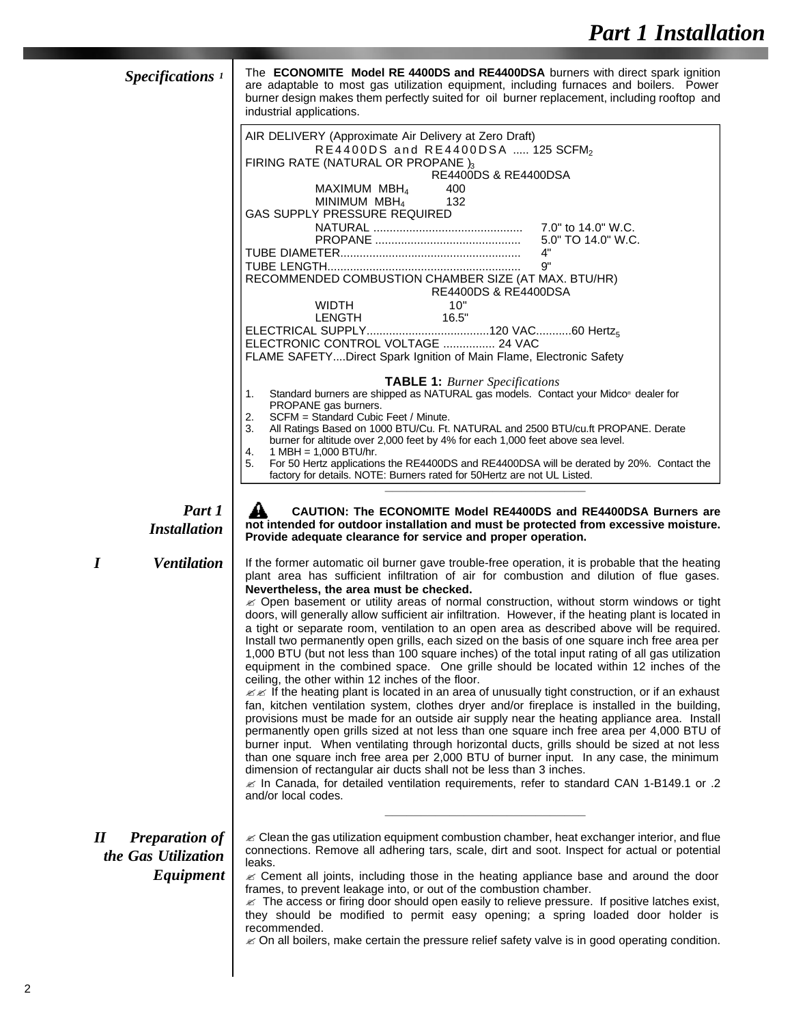| Specifications <sup>1</sup>                                                             | The <b>ECONOMITE Model RE 4400DS and RE4400DSA</b> burners with direct spark ignition<br>are adaptable to most gas utilization equipment, including furnaces and boilers. Power<br>burner design makes them perfectly suited for oil burner replacement, including rooftop and<br>industrial applications.                                                                                                                                                                                                                                                                                                                                                                                                                                                                                                                                                                                                                                                                                                                                                                                                                                                                                                                                                                                                                                                                                                                                                                                                                                                                                                                                                                               |
|-----------------------------------------------------------------------------------------|------------------------------------------------------------------------------------------------------------------------------------------------------------------------------------------------------------------------------------------------------------------------------------------------------------------------------------------------------------------------------------------------------------------------------------------------------------------------------------------------------------------------------------------------------------------------------------------------------------------------------------------------------------------------------------------------------------------------------------------------------------------------------------------------------------------------------------------------------------------------------------------------------------------------------------------------------------------------------------------------------------------------------------------------------------------------------------------------------------------------------------------------------------------------------------------------------------------------------------------------------------------------------------------------------------------------------------------------------------------------------------------------------------------------------------------------------------------------------------------------------------------------------------------------------------------------------------------------------------------------------------------------------------------------------------------|
|                                                                                         | AIR DELIVERY (Approximate Air Delivery at Zero Draft)<br>RE4400DS and RE4400DSA  125 SCFM <sub>2</sub><br>FIRING RATE (NATURAL OR PROPANE)3<br><b>RE4400DS &amp; RE4400DSA</b><br>MAXIMUM MBH $_4$<br>400<br>MINIMUM $MBH4$<br>132<br>GAS SUPPLY PRESSURE REQUIRED<br>4"<br>9"<br>RECOMMENDED COMBUSTION CHAMBER SIZE (AT MAX. BTU/HR)<br><b>RE4400DS &amp; RE4400DSA</b><br>10"<br>WIDTH<br>16.5"<br>LENGTH<br>ELECTRONIC CONTROL VOLTAGE  24 VAC<br>FLAME SAFETYDirect Spark Ignition of Main Flame, Electronic Safety                                                                                                                                                                                                                                                                                                                                                                                                                                                                                                                                                                                                                                                                                                                                                                                                                                                                                                                                                                                                                                                                                                                                                                 |
|                                                                                         | <b>TABLE 1:</b> Burner Specifications<br>Standard burners are shipped as NATURAL gas models. Contact your Midco® dealer for<br>1.<br>PROPANE gas burners.<br>2.<br>SCFM = Standard Cubic Feet / Minute.<br>3.<br>All Ratings Based on 1000 BTU/Cu. Ft. NATURAL and 2500 BTU/cu.ft PROPANE. Derate<br>burner for altitude over 2,000 feet by 4% for each 1,000 feet above sea level.<br>4.<br>$1$ MBH = 1,000 BTU/hr.<br>5.<br>For 50 Hertz applications the RE4400DS and RE4400DSA will be derated by 20%. Contact the<br>factory for details. NOTE: Burners rated for 50Hertz are not UL Listed.                                                                                                                                                                                                                                                                                                                                                                                                                                                                                                                                                                                                                                                                                                                                                                                                                                                                                                                                                                                                                                                                                        |
| Part 1<br><b>Installation</b>                                                           | CAUTION: The ECONOMITE Model RE4400DS and RE4400DSA Burners are<br>not intended for outdoor installation and must be protected from excessive moisture.<br>Provide adequate clearance for service and proper operation.                                                                                                                                                                                                                                                                                                                                                                                                                                                                                                                                                                                                                                                                                                                                                                                                                                                                                                                                                                                                                                                                                                                                                                                                                                                                                                                                                                                                                                                                  |
| <b>Ventilation</b><br>I                                                                 | If the former automatic oil burner gave trouble-free operation, it is probable that the heating<br>plant area has sufficient infiltration of air for combustion and dilution of flue gases.<br>Nevertheless, the area must be checked.<br>≤ Open basement or utility areas of normal construction, without storm windows or tight<br>doors, will generally allow sufficient air infiltration. However, if the heating plant is located in<br>a tight or separate room, ventilation to an open area as described above will be required.<br>Install two permanently open grills, each sized on the basis of one square inch free area per<br>1,000 BTU (but not less than 100 square inches) of the total input rating of all gas utilization<br>equipment in the combined space. One grille should be located within 12 inches of the<br>ceiling, the other within 12 inches of the floor.<br>$\mathscr{B}$ If the heating plant is located in an area of unusually tight construction, or if an exhaust<br>fan, kitchen ventilation system, clothes dryer and/or fireplace is installed in the building,<br>provisions must be made for an outside air supply near the heating appliance area. Install<br>permanently open grills sized at not less than one square inch free area per 4,000 BTU of<br>burner input. When ventilating through horizontal ducts, grills should be sized at not less<br>than one square inch free area per 2,000 BTU of burner input. In any case, the minimum<br>dimension of rectangular air ducts shall not be less than 3 inches.<br>2. In Canada, for detailed ventilation requirements, refer to standard CAN 1-B149.1 or .2<br>and/or local codes. |
| $\boldsymbol{\mathit{II}}$<br><b>Preparation of</b><br>the Gas Utilization<br>Equipment | $\mathcal{\mathcal{L}}$ Clean the gas utilization equipment combustion chamber, heat exchanger interior, and flue<br>connections. Remove all adhering tars, scale, dirt and soot. Inspect for actual or potential<br>leaks.<br>$\mathscr{\mathscr{A}}$ Cement all joints, including those in the heating appliance base and around the door<br>frames, to prevent leakage into, or out of the combustion chamber.<br>$\mathcal Z$ The access or firing door should open easily to relieve pressure. If positive latches exist,<br>they should be modified to permit easy opening; a spring loaded door holder is<br>recommended.<br>$\alpha$ On all boilers –make certain the pressure relief safety valve is in good operating condition                                                                                                                                                                                                                                                                                                                                                                                                                                                                                                                                                                                                                                                                                                                                                                                                                                                                                                                                                |

 $\mathcal Z$  On all boilers, make certain the pressure relief safety valve is in good operating condition.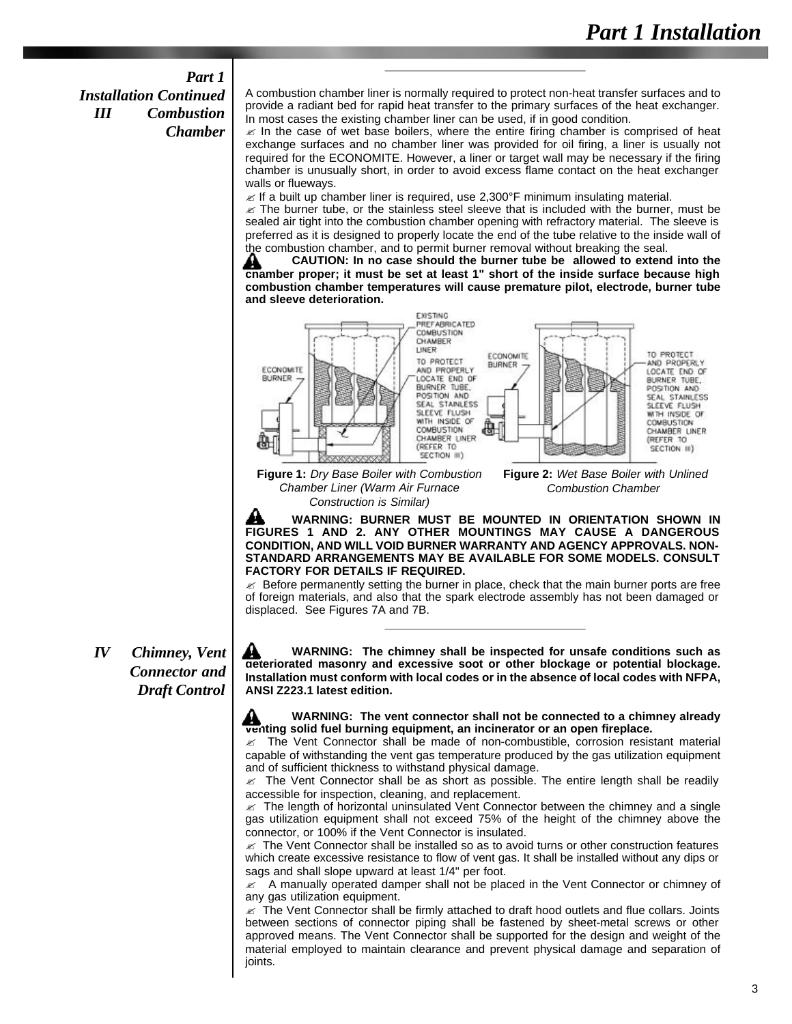### *Part 1 Installation Continued III Combustion Chamber*

A combustion chamber liner is normally required to protect non-heat transfer surfaces and to provide a radiant bed for rapid heat transfer to the primary surfaces of the heat exchanger. In most cases the existing chamber liner can be used, if in good condition.

**\_\_\_\_\_\_\_\_\_\_\_\_\_\_\_\_\_\_\_\_\_\_\_\_\_\_\_\_**

 $\mathbb Z$  In the case of wet base boilers, where the entire firing chamber is comprised of heat exchange surfaces and no chamber liner was provided for oil firing, a liner is usually not required for the ECONOMITE. However, a liner or target wall may be necessary if the firing chamber is unusually short, in order to avoid excess flame contact on the heat exchanger walls or flueways.

 $\mathscr{\mathscr{A}}$  If a built up chamber liner is required, use 2,300°F minimum insulating material.

 $\epsilon$  The burner tube, or the stainless steel sleeve that is included with the burner, must be sealed air tight into the combustion chamber opening with refractory material. The sleeve is preferred as it is designed to properly locate the end of the tube relative to the inside wall of the combustion chamber, and to permit burner removal without breaking the seal.

**CAUTION: In no case should the burner tube be allowed to extend into the** ₩ **chamber proper; it must be set at least 1" short of the inside surface because high combustion chamber temperatures will cause premature pilot, electrode, burner tube and sleeve deterioration.**



**Figure 1:** *Dry Base Boiler with Combustion Chamber Liner (Warm Air Furnace Construction is Similar)*

**Figure 2:** *Wet Base Boiler with Unlined Combustion Chamber* 

₩ **WARNING: BURNER MUST BE MOUNTED IN ORIENTATION SHOWN IN FIGURES 1 AND 2. ANY OTHER MOUNTINGS MAY CAUSE A DANGEROUS CONDITION, AND WILL VOID BURNER WARRANTY AND AGENCY APPROVALS. NON-STANDARD ARRANGEMENTS MAY BE AVAILABLE FOR SOME MODELS. CONSULT FACTORY FOR DETAILS IF REQUIRED.** 

 $\approx$  Before permanently setting the burner in place, check that the main burner ports are free of foreign materials, and also that the spark electrode assembly has not been damaged or displaced. See Figures 7A and 7B.

**\_\_\_\_\_\_\_\_\_\_\_\_\_\_\_\_\_\_\_\_\_\_\_\_\_\_\_\_**

*IV Chimney, Vent Connector and Draft Control*

A **WARNING: The chimney shall be inspected for unsafe conditions such as deteriorated masonry and excessive soot or other blockage or potential blockage. Installation must conform with local codes or in the absence of local codes with NFPA, ANSI Z223.1 latest edition.**

#### **WARNING: The vent connector shall not be connected to a chimney already 41** WARNING: The vent connector shall not be connected to a chim<br>venting solid fuel burning equipment, an incinerator or an open fireplace.

 $\epsilon$  The Vent Connector shall be made of non-combustible, corrosion resistant material capable of withstanding the vent gas temperature produced by the gas utilization equipment and of sufficient thickness to withstand physical damage.

 $\mathbb Z$  The Vent Connector shall be as short as possible. The entire length shall be readily accessible for inspection, cleaning, and replacement.

 $\approx$  The length of horizontal uninsulated Vent Connector between the chimney and a single gas utilization equipment shall not exceed 75% of the height of the chimney above the connector, or 100% if the Vent Connector is insulated.

 $\mathbb Z$  The Vent Connector shall be installed so as to avoid turns or other construction features which create excessive resistance to flow of vent gas. It shall be installed without any dips or sags and shall slope upward at least 1/4" per foot.

 $\epsilon$  A manually operated damper shall not be placed in the Vent Connector or chimney of any gas utilization equipment.

 $\mathscr Z$  The Vent Connector shall be firmly attached to draft hood outlets and flue collars. Joints between sections of connector piping shall be fastened by sheet-metal screws or other approved means. The Vent Connector shall be supported for the design and weight of the material employed to maintain clearance and prevent physical damage and separation of joints.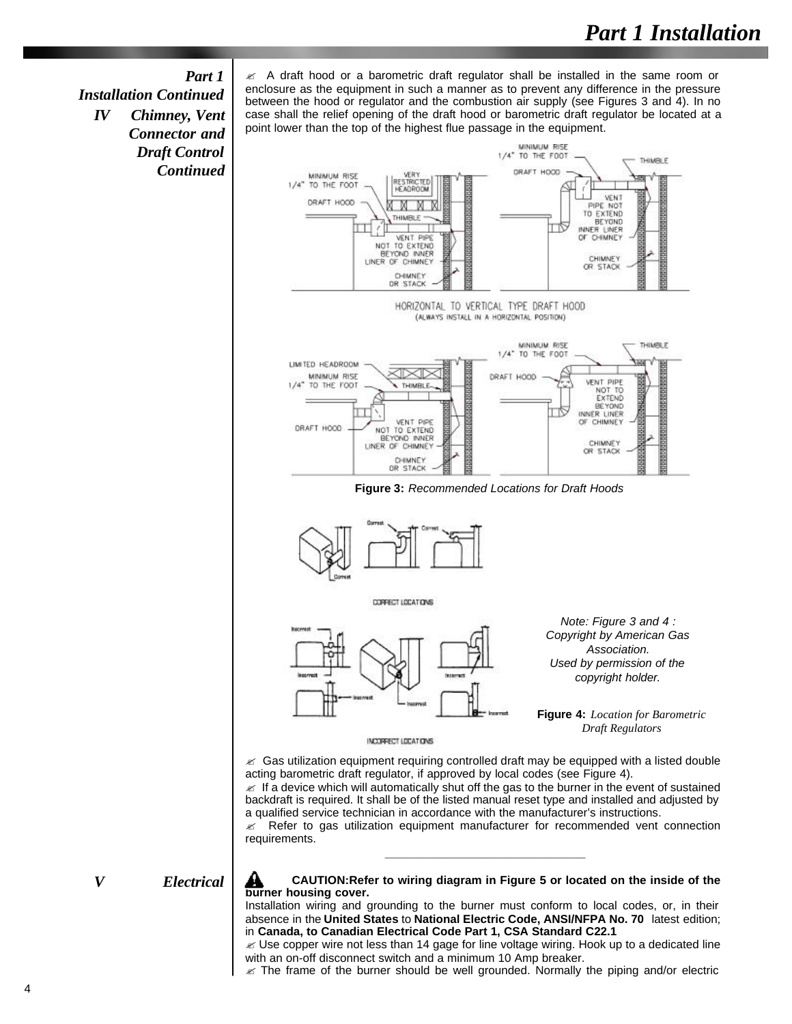#### *Part 1*

*Installation Continued IV Chimney, Vent Connector and Draft Control Continued*  $\mathscr A$  A draft hood or a barometric draft regulator shall be installed in the same room or enclosure as the equipment in such a manner as to prevent any difference in the pressure between the hood or regulator and the combustion air supply (see Figures 3 and 4). In no case shall the relief opening of the draft hood or barometric draft regulator be located at a point lower than the top of the highest flue passage in the equipment.



 $\mathscr A$  If a device which will automatically shut off the gas to the burner in the event of sustained backdraft is required. It shall be of the listed manual reset type and installed and adjusted by a qualified service technician in accordance with the manufacturer's instructions.

 $\mathscr{L}$  Refer to gas utilization equipment manufacturer for recommended vent connection requirements. **\_\_\_\_\_\_\_\_\_\_\_\_\_\_\_\_\_\_\_\_\_\_\_\_\_\_\_\_**

#### *V Electrical*

**CAUTION:Refer to wiring diagram in Figure 5 or located on the inside of the burner housing cover.** 

Installation wiring and grounding to the burner must conform to local codes, or, in their absence in the **United States** to **National Electric Code, ANSI/NFPA No. 70** latest edition; in **Canada, to Canadian Electrical Code Part 1, CSA Standard C22.1**

 $\mathscr{\mathscr{L}}$  Use copper wire not less than 14 gage for line voltage wiring. Hook up to a dedicated line with an on-off disconnect switch and a minimum 10 Amp breaker.

 $\mathscr{\mathscr{L}}$  The frame of the burner should be well grounded. Normally the piping and/or electric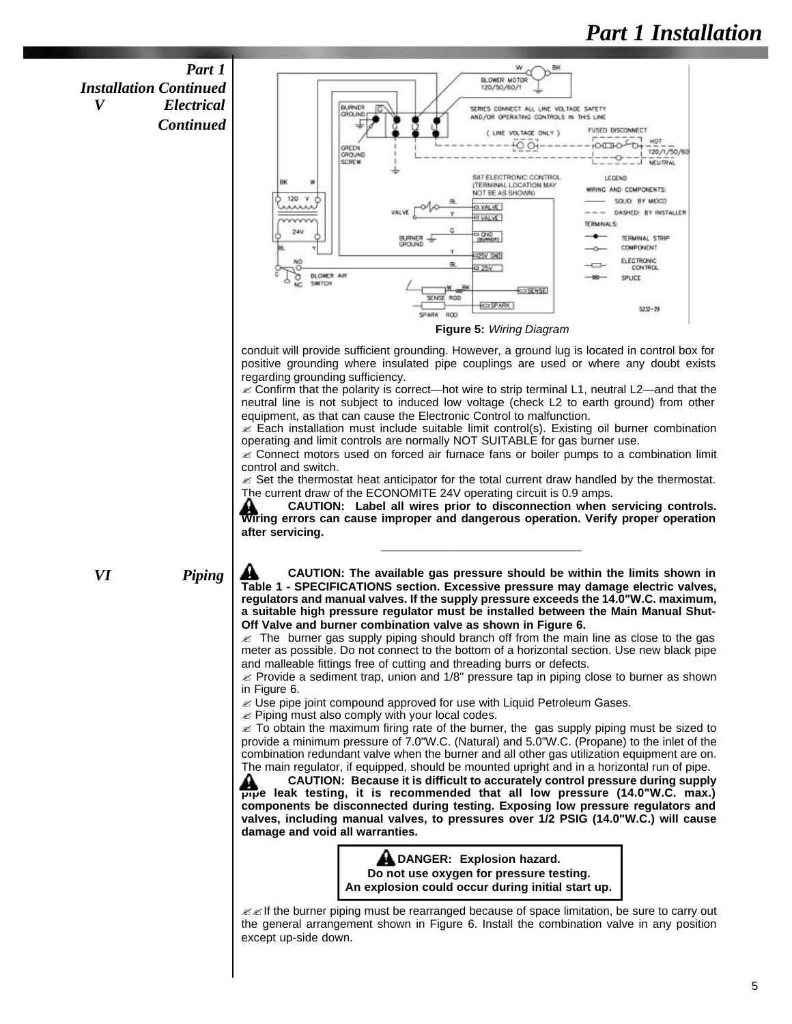*Part 1 Installation Continued V Electrical Continued*



conduit will provide sufficient grounding. However, a ground lug is located in control box for positive grounding where insulated pipe couplings are used or where any doubt exists regarding grounding sufficiency.

 $\epsilon$  Confirm that the polarity is correct—hot wire to strip terminal L1, neutral L2—and that the neutral line is not subject to induced low voltage (check L2 to earth ground) from other equipment, as that can cause the Electronic Control to malfunction.

 $\approx$  Each installation must include suitable limit control(s). Existing oil burner combination operating and limit controls are normally NOT SUITABLE for gas burner use.

 $\mathscr{\mathscr{L}}$  Connect motors used on forced air furnace fans or boiler pumps to a combination limit control and switch.

 $\mathscr{L}$  Set the thermostat heat anticipator for the total current draw handled by the thermostat. The current draw of the ECONOMITE 24V operating circuit is 0.9 amps.

**CAUTION: Label all wires prior to disconnection when servicing controls.** Wiring errors can cause improper and dangerous operation. Verify proper operation **after servicing. \_\_\_\_\_\_\_\_\_\_\_\_\_\_\_\_\_\_\_\_\_\_\_\_\_\_\_\_**

*VI Piping*

A **CAUTION: The available gas pressure should be within the limits shown in Table 1 - SPECIFICATIONS section. Excessive pressure may damage electric valves, regulators and manual valves. If the supply pressure exceeds the 14.0"W.C. maximum, a suitable high pressure regulator must be installed between the Main Manual Shut-Off Valve and burner combination valve as shown in Figure 6.** 

 $\approx$  The burner gas supply piping should branch off from the main line as close to the gas meter as possible. Do not connect to the bottom of a horizontal section. Use new black pipe and malleable fittings free of cutting and threading burrs or defects.

 $\approx$  Provide a sediment trap, union and 1/8" pressure tap in piping close to burner as shown in Figure 6.

 $\mathscr{L}$  Use pipe joint compound approved for use with Liquid Petroleum Gases.

 $\mathbb Z$  Piping must also comply with your local codes.

 $\epsilon$  To obtain the maximum firing rate of the burner, the gas supply piping must be sized to provide a minimum pressure of 7.0"W.C. (Natural) and 5.0"W.C. (Propane) to the inlet of the combination redundant valve when the burner and all other gas utilization equipment are on. The main regulator, if equipped, should be mounted upright and in a horizontal run of pipe.

**CAUTION: Because it is difficult to accurately control pressure during supply pipe leak testing, it is recommended that all low pressure (14.0"W.C. max.) components be disconnected during testing. Exposing low pressure regulators and valves, including manual valves, to pressures over 1/2 PSIG (14.0"W.C.) will cause damage and void all warranties.**

> **ADANGER: Explosion hazard. Do not use oxygen for pressure testing. An explosion could occur during initial start up.**

 $\mathscr{B}$  If the burner piping must be rearranged because of space limitation, be sure to carry out the general arrangement shown in Figure 6. Install the combination valve in any position except up-side down.

5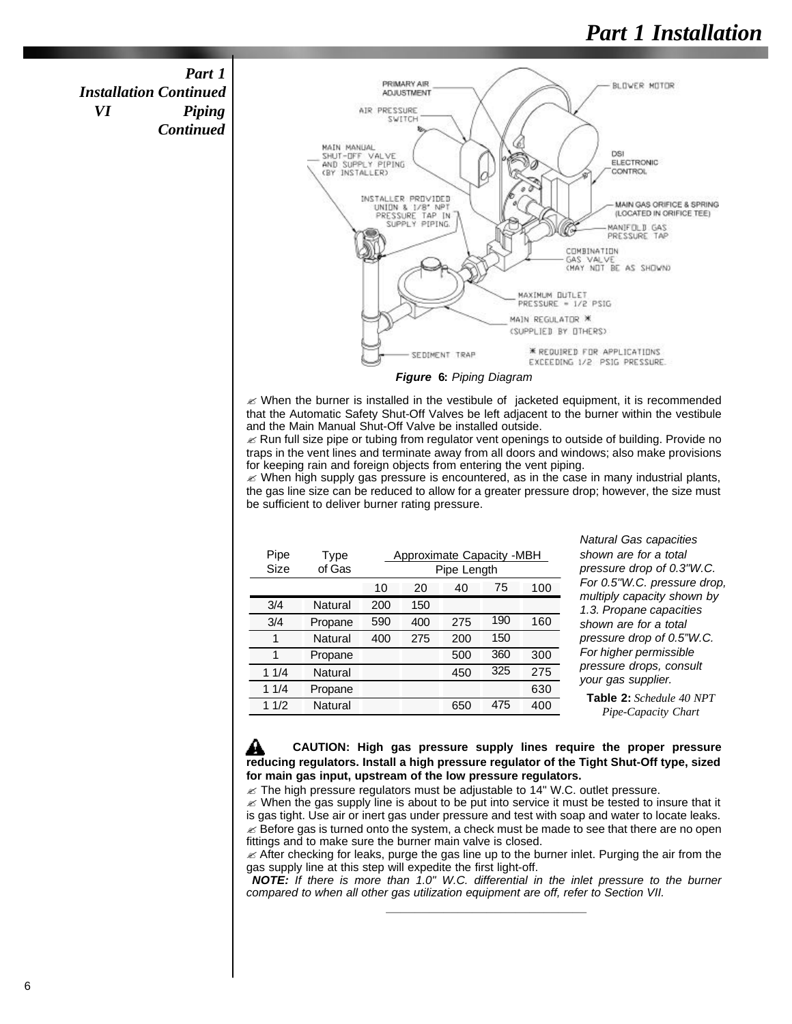*Part 1 Installation Continued VI Piping Continued*



*Figure* **6:** *Piping Diagram*

 $\mathscr{L}$  When the burner is installed in the vestibule of jacketed equipment, it is recommended that the Automatic Safety Shut-Off Valves be left adjacent to the burner within the vestibule and the Main Manual Shut-Off Valve be installed outside.

 $\mathbb Z$  Run full size pipe or tubing from regulator vent openings to outside of building. Provide no traps in the vent lines and terminate away from all doors and windows; also make provisions for keeping rain and foreign objects from entering the vent piping.

 $\ll$  When high supply gas pressure is encountered, as in the case in many industrial plants, the gas line size can be reduced to allow for a greater pressure drop; however, the size must be sufficient to deliver burner rating pressure.

| Pipe<br>Size | Type<br>of Gas | Approximate Capacity -MBH<br>Pipe Length |     |     |     |     |
|--------------|----------------|------------------------------------------|-----|-----|-----|-----|
|              |                | 10                                       | 20  | 40  | 75  | 100 |
| 3/4          | Natural        | 200                                      | 150 |     |     |     |
| 3/4          | Propane        | 590                                      | 400 | 275 | 190 | 160 |
| 1            | Natural        | 400                                      | 275 | 200 | 150 |     |
| 1            | Propane        |                                          |     | 500 | 360 | 300 |
| 11/4         | Natural        |                                          |     | 450 | 325 | 275 |
| 11/4         | Propane        |                                          |     |     |     | 630 |
| 11/2         | Natural        |                                          |     | 650 | 475 | 400 |

*Natural Gas capacities shown are for a total pressure drop of 0.3"W.C. For 0.5"W.C. pressure drop, multiply capacity shown by 1.3. Propane capacities shown are for a total pressure drop of 0.5"W.C. For higher permissible pressure drops, consult your gas supplier.*

**Table 2:** *Schedule 40 NPT Pipe-Capacity Chart*

**CAUTION: High gas pressure supply lines require the proper pressure** ₩ **reducing regulators. Install a high pressure regulator of the Tight Shut-Off type, sized for main gas input, upstream of the low pressure regulators.** 

 $\mathbb Z$  The high pressure regulators must be adjustable to 14" W.C. outlet pressure.

 $\mathcal{L}$  When the gas supply line is about to be put into service it must be tested to insure that it is gas tight. Use air or inert gas under pressure and test with soap and water to locate leaks.  $\mathscr E$  Before gas is turned onto the system, a check must be made to see that there are no open fittings and to make sure the burner main valve is closed.

 $\mathcal{L}$  After checking for leaks, purge the gas line up to the burner inlet. Purging the air from the gas supply line at this step will expedite the first light-off.

*NOTE: If there is more than 1.0" W.C. differential in the inlet pressure to the burner compared to when all other gas utilization equipment are off, refer to Section VII.* **\_\_\_\_\_\_\_\_\_\_\_\_\_\_\_\_\_\_\_\_\_\_\_\_\_\_\_\_**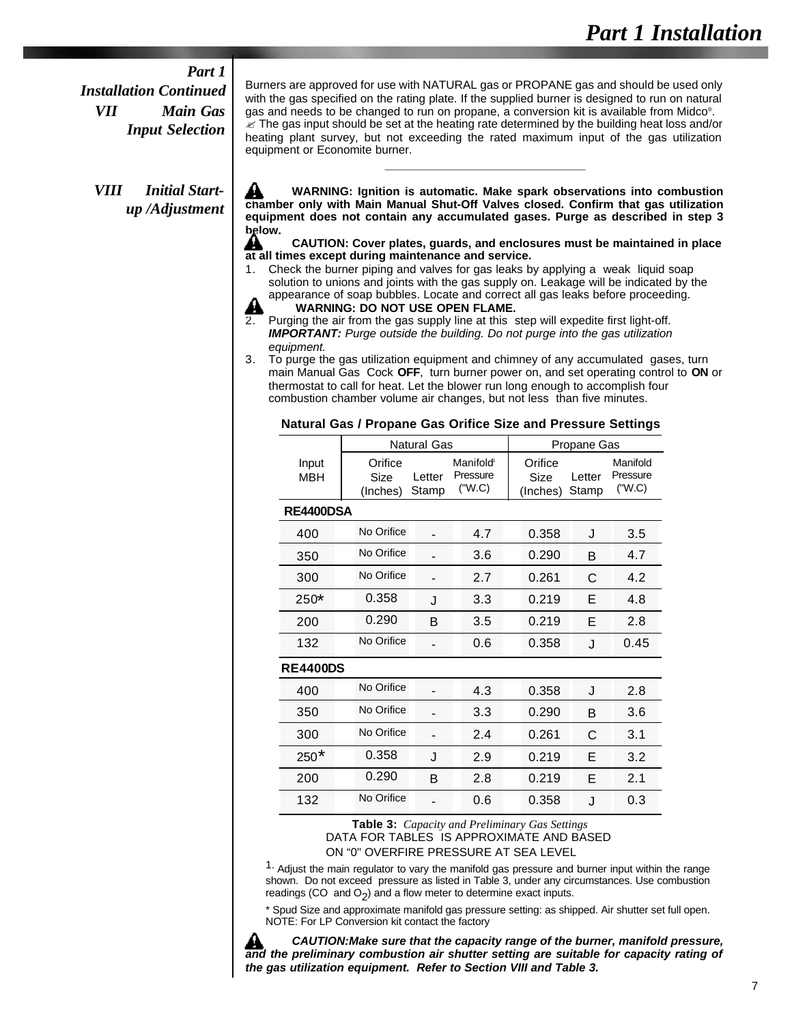#### *Part 1*

*Installation Continued VII Main Gas Input Selection*

*VIII Initial Startup /Adjustment*  Burners are approved for use with NATURAL gas or PROPANE gas and should be used only with the gas specified on the rating plate. If the supplied burner is designed to run on natural gas and needs to be changed to run on propane, a conversion kit is available from Midco® .  $\approx$  The gas input should be set at the heating rate determined by the building heat loss and/or heating plant survey, but not exceeding the rated maximum input of the gas utilization equipment or Economite burner.

┻ **WARNING: Ignition is automatic. Make spark observations into combustion chamber only with Main Manual Shut-Off Valves closed. Confirm that gas utilization equipment does not contain any accumulated gases. Purge as described in step 3 below.**

**\_\_\_\_\_\_\_\_\_\_\_\_\_\_\_\_\_\_\_\_\_\_\_\_\_\_\_\_**

#### **CAUTION: Cover plates, guards, and enclosures must be maintained in place at all times except during maintenance and service.**

1. Check the burner piping and valves for gas leaks by applying a weak liquid soap solution to unions and joints with the gas supply on. Leakage will be indicated by the appearance of soap bubbles. Locate and correct all gas leaks before proceeding.



Purging the air from the gas supply line at this step will expedite first light-off. *IMPORTANT: Purge outside the building. Do not purge into the gas utilization equipment.*

3. To purge the gas utilization equipment and chimney of any accumulated gases, turn main Manual Gas Cock **OFF**, turn burner power on, and set operating control to **ON** or thermostat to call for heat. Let the blower run long enough to accomplish four combustion chamber volume air changes, but not less than five minutes.

|  |  |  | Natural Gas / Propane Gas Orifice Size and Pressure Settings |  |  |
|--|--|--|--------------------------------------------------------------|--|--|
|--|--|--|--------------------------------------------------------------|--|--|

|                     |                             | <b>Natural Gas</b> |                                             | Propane Gas                 |                 |                                |  |
|---------------------|-----------------------------|--------------------|---------------------------------------------|-----------------------------|-----------------|--------------------------------|--|
| Input<br><b>MBH</b> | Orifice<br>Size<br>(Inches) | Letter<br>Stamp    | Manifold <sup>®</sup><br>Pressure<br>("W.C) | Orifice<br>Size<br>(Inches) | Letter<br>Stamp | Manifold<br>Pressure<br>("W.C) |  |
|                     | RE4400DSA                   |                    |                                             |                             |                 |                                |  |
| 400                 | No Orifice                  |                    | 4.7                                         | 0.358                       | J               | 3.5                            |  |
| 350                 | No Orifice                  |                    | 3.6                                         | 0.290                       | B               | 4.7                            |  |
| 300                 | No Orifice                  |                    | 2.7                                         | 0.261                       | C               | 4.2                            |  |
| 250*                | 0.358                       | J                  | 3.3                                         | 0.219                       | Е               | 4.8                            |  |
| 200                 | 0.290                       | B                  | 3.5                                         | 0.219                       | E               | 2.8                            |  |
| 132                 | No Orifice                  |                    | 0.6                                         | 0.358                       | J               | 0.45                           |  |
| <b>RE4400DS</b>     |                             |                    |                                             |                             |                 |                                |  |
| 400                 | No Orifice                  |                    | 4.3                                         | 0.358                       | J               | 2.8                            |  |
| 350                 | No Orifice                  |                    | 3.3                                         | 0.290                       | B               | 3.6                            |  |
| 300                 | No Orifice                  |                    | 2.4                                         | 0.261                       | С               | 3.1                            |  |
| $250*$              | 0.358                       | J                  | 2.9                                         | 0.219                       | Е               | 3.2                            |  |
| 200                 | 0.290                       | B                  | 2.8                                         | 0.219                       | Е               | 2.1                            |  |
| 132                 | No Orifice                  |                    | 0.6                                         | 0.358                       | J               | 0.3                            |  |

**Table 3:** *Capacity and Preliminary Gas Settings* DATA FOR TABLES IS APPROXIMATE AND BASED

ON "0" OVERFIRE PRESSURE AT SEA LEVEL

 $1.$  Adjust the main regulator to vary the manifold gas pressure and burner input within the range shown. Do not exceed pressure as listed in Table 3, under any circumstances. Use combustion readings (CO and O<sub>2</sub>) and a flow meter to determine exact inputs.

\* Spud Size and approximate manifold gas pressure setting: as shipped. Air shutter set full open. NOTE: For LP Conversion kit contact the factory

*CAUTION:Make sure that the capacity range of the burner, manifold pressure, and the preliminary combustion air shutter setting are suitable for capacity rating of the gas utilization equipment. Refer to Section VIII and Table 3.*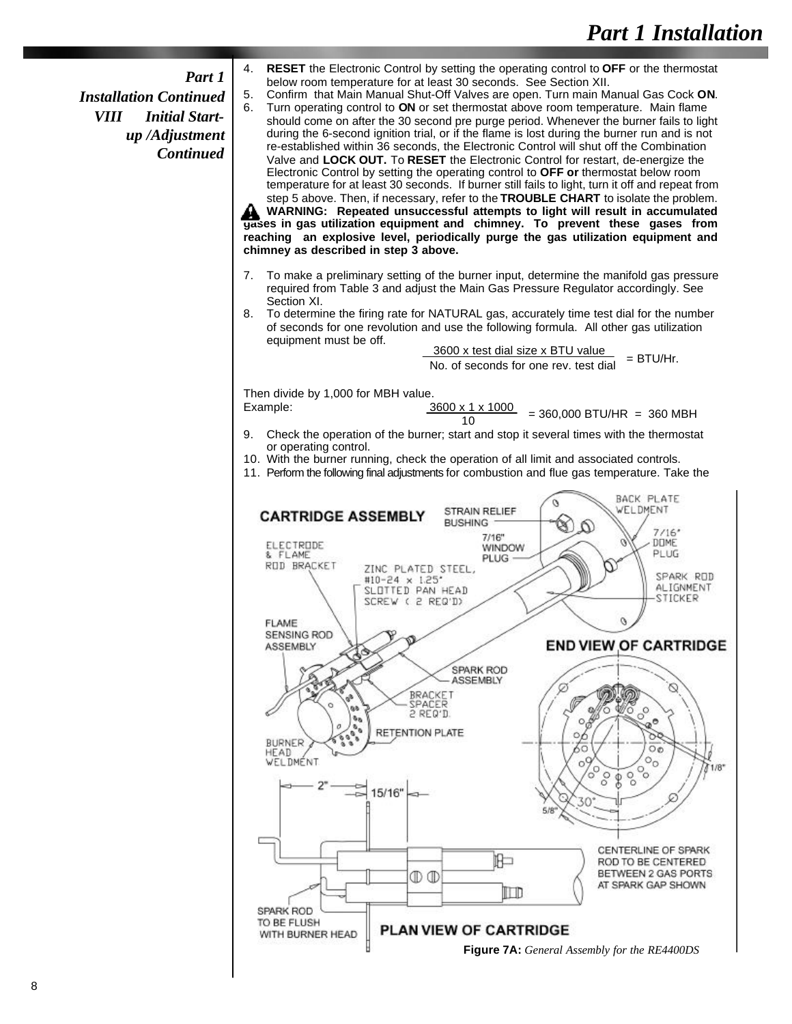#### *Part 1*

*Installation Continued VIII Initial Startup /Adjustment Continued* 4. **RESET** the Electronic Control by setting the operating control to **OFF** or the thermostat below room temperature for at least 30 seconds. See Section XII.

5. Confirm that Main Manual Shut-Off Valves are open. Turn main Manual Gas Cock **ON**. 6. Turn operating control to **ON** or set thermostat above room temperature. Main flame should come on after the 30 second pre purge period. Whenever the burner fails to light during the 6-second ignition trial, or if the flame is lost during the burner run and is not re-established within 36 seconds, the Electronic Control will shut off the Combination Valve and **LOCK OUT.** To **RESET** the Electronic Control for restart, de-energize the Electronic Control by setting the operating control to **OFF or** thermostat below room temperature for at least 30 seconds. If burner still fails to light, turn it off and repeat from step 5 above. Then, if necessary, refer to the **TROUBLE CHART** to isolate the problem. **WARNING: Repeated unsuccessful attempts to light will result in accumulated**

**gases in gas utilization equipment and chimney. To prevent these gases from reaching an explosive level, periodically purge the gas utilization equipment and chimney as described in step 3 above.**

- 7. To make a preliminary setting of the burner input, determine the manifold gas pressure required from Table 3 and adjust the Main Gas Pressure Regulator accordingly. See Section XI.
- 8. To determine the firing rate for NATURAL gas, accurately time test dial for the number of seconds for one revolution and use the following formula. All other gas utilization equipment must be off.

 $\frac{3600 \times \text{test}}{100 \times \text{test}}$  and  $\frac{3600 \times \text{test}}{100 \times \text{test}}$  = BTU/Hr.

Then divide by 1,000 for MBH value.

| Example: | $3600 \times 1 \times 1000$ | $= 360,000$ BTU/HR = 360 MBH |
|----------|-----------------------------|------------------------------|
|          |                             |                              |

- 9. Check the operation of the burner; start and stop it several times with the thermostat or operating control.
- 10. With the burner running, check the operation of all limit and associated controls.
- 11. Perform the following final adjustments for combustion and flue gas temperature. Take the

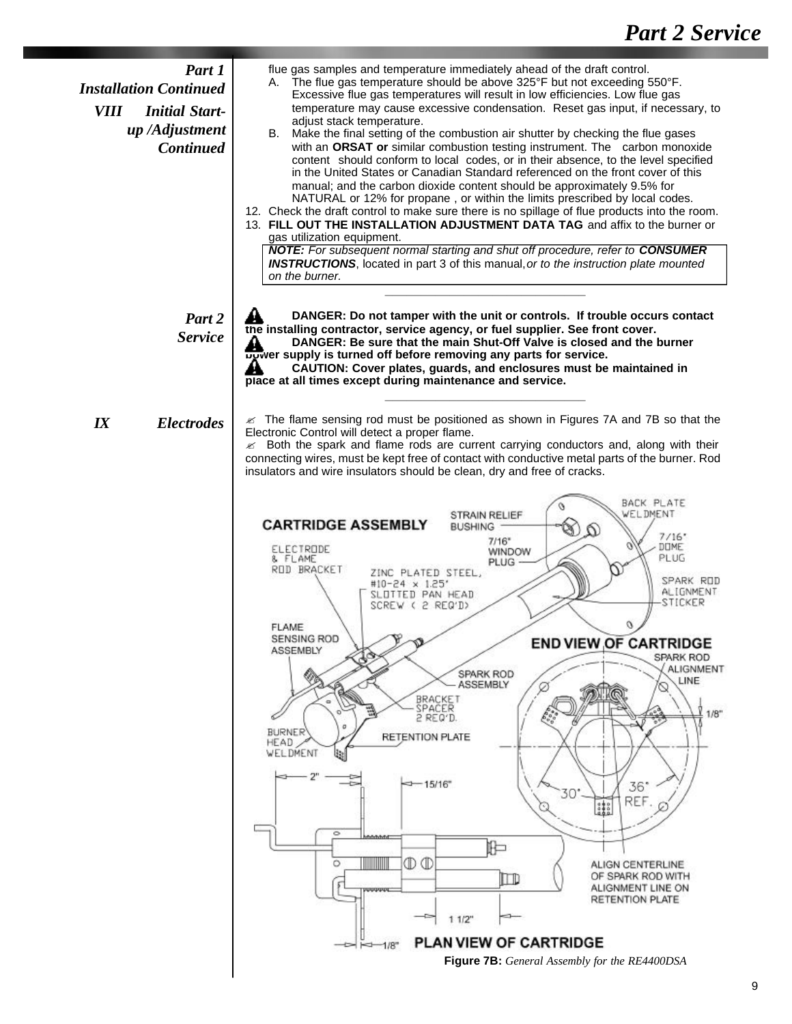| Part 1<br><b>Installation Continued</b><br><i>VIII</i><br><b>Initial Start-</b><br>up/Adjustment<br><b>Continued</b> | flue gas samples and temperature immediately ahead of the draft control.<br>A. The flue gas temperature should be above 325°F but not exceeding 550°F.<br>Excessive flue gas temperatures will result in low efficiencies. Low flue gas<br>temperature may cause excessive condensation. Reset gas input, if necessary, to<br>adjust stack temperature.<br>Make the final setting of the combustion air shutter by checking the flue gases<br>В.<br>with an ORSAT or similar combustion testing instrument. The carbon monoxide<br>content should conform to local codes, or in their absence, to the level specified<br>in the United States or Canadian Standard referenced on the front cover of this<br>manual; and the carbon dioxide content should be approximately 9.5% for<br>NATURAL or 12% for propane, or within the limits prescribed by local codes.<br>12. Check the draft control to make sure there is no spillage of flue products into the room.<br>13. FILL OUT THE INSTALLATION ADJUSTMENT DATA TAG and affix to the burner or<br>gas utilization equipment.<br><b>NOTE:</b> For subsequent normal starting and shut off procedure, refer to <b>CONSUMER</b><br><b>INSTRUCTIONS</b> , located in part 3 of this manual, or to the instruction plate mounted<br>on the burner.                                   |
|----------------------------------------------------------------------------------------------------------------------|--------------------------------------------------------------------------------------------------------------------------------------------------------------------------------------------------------------------------------------------------------------------------------------------------------------------------------------------------------------------------------------------------------------------------------------------------------------------------------------------------------------------------------------------------------------------------------------------------------------------------------------------------------------------------------------------------------------------------------------------------------------------------------------------------------------------------------------------------------------------------------------------------------------------------------------------------------------------------------------------------------------------------------------------------------------------------------------------------------------------------------------------------------------------------------------------------------------------------------------------------------------------------------------------------------------------------------------|
| Part 2<br><b>Service</b>                                                                                             | DANGER: Do not tamper with the unit or controls. If trouble occurs contact<br>the installing contractor, service agency, or fuel supplier. See front cover.<br>DANGER: Be sure that the main Shut-Off Valve is closed and the burner<br>A<br>bower supply is turned off before removing any parts for service.<br>CAUTION: Cover plates, guards, and enclosures must be maintained in<br>44<br>place at all times except during maintenance and service.                                                                                                                                                                                                                                                                                                                                                                                                                                                                                                                                                                                                                                                                                                                                                                                                                                                                             |
| I X<br><b>Electrodes</b>                                                                                             | $\epsilon$ The flame sensing rod must be positioned as shown in Figures 7A and 7B so that the<br>Electronic Control will detect a proper flame.<br>$\mathscr{A}$ Both the spark and flame rods are current carrying conductors and, along with their<br>connecting wires, must be kept free of contact with conductive metal parts of the burner. Rod<br>insulators and wire insulators should be clean, dry and free of cracks.<br>BACK PLATE<br>WELDMENT<br>STRAIN RELIEF<br><b>CARTRIDGE ASSEMBLY</b><br><b>BUSHING</b><br>7/16'<br>$7/16$ *<br>DOME<br>ELECTRODE<br>WINDOW<br>PLUG<br>& FLAME<br><b>PLUG</b><br>ROD BRACKET<br>PLATED STEEL,<br>SPARK ROD<br>#10-24 x 1.25'<br>ALIGNMENT<br>SLOTTED PAN HEAD<br>STICKER<br>SCREW ( 2 REQ'I)<br><b>FLAME</b><br><b>SENSING ROD</b><br><b>END VIEW OF CARTRIDGE</b><br>ASSEMBLY<br><b>SPARK ROD</b><br><b>ALIGNMENT</b><br><b>SPARK ROD</b><br>LINE<br>ASSEMBLY<br>BRACKET<br>SPACER<br>1/8"<br>2 REQ'D.<br><b>BURNER</b><br><b>RETENTION PLATE</b><br>HEAD<br>WELDMENT<br>$-15/16$<br>36°<br>30<br>REF<br>$\frac{1}{200}$<br>C)<br>$\circ$<br>昈<br>$\mathbb{D} \mathbb{D}$<br>W<br>O<br>ALIGN CENTERLINE<br>OF SPARK ROD WITH<br>$\Box$<br>ALIGNMENT LINE ON<br>RETENTION PLATE<br>11/2"<br><b>PLAN VIEW OF CARTRIDGE</b><br><b>Figure 7B:</b> General Assembly for the RE4400DSA |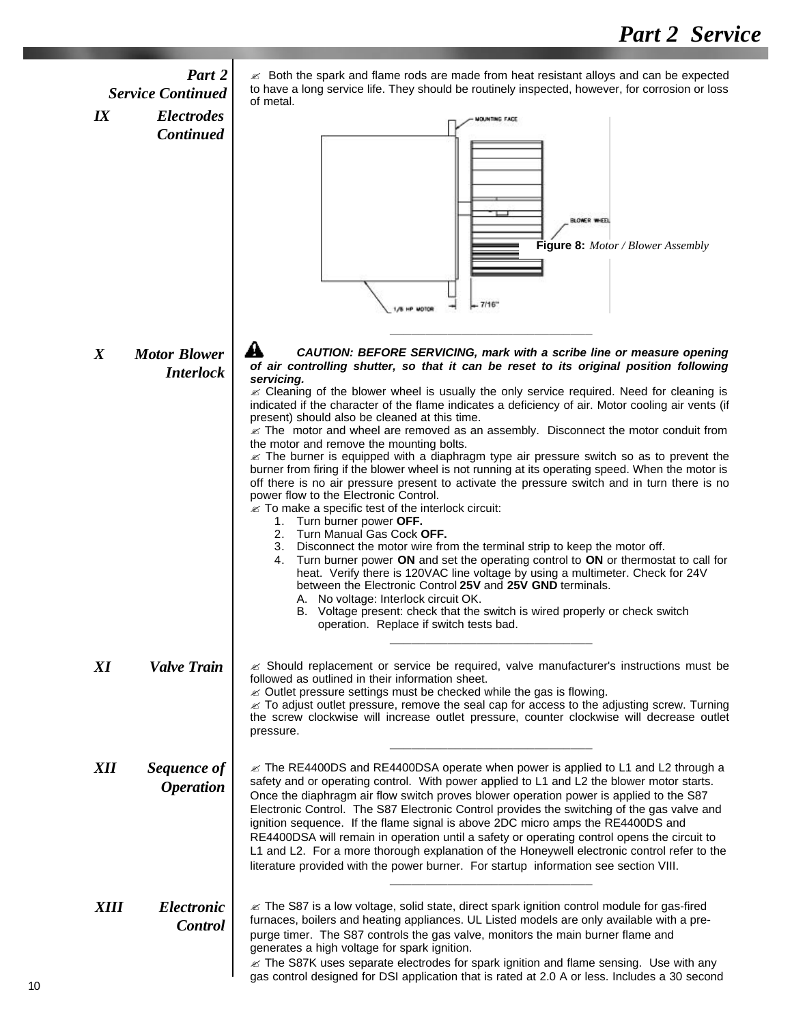### *Part 2 Service Continued IX Electrodes Continued*

 $\approx$  Both the spark and flame rods are made from heat resistant alloys and can be expected to have a long service life. They should be routinely inspected, however, for corrosion or loss of metal.



*X Motor Blower Interlock* AŁ *CAUTION: BEFORE SERVICING, mark with a scribe line or measure opening of air controlling shutter, so that it can be reset to its original position following servicing.*

 $\mathscr Z$  Cleaning of the blower wheel is usually the only service required. Need for cleaning is indicated if the character of the flame indicates a deficiency of air. Motor cooling air vents (if present) should also be cleaned at this time.

 $\approx$  The motor and wheel are removed as an assembly. Disconnect the motor conduit from the motor and remove the mounting bolts.

 $\epsilon$  The burner is equipped with a diaphragm type air pressure switch so as to prevent the burner from firing if the blower wheel is not running at its operating speed. When the motor is off there is no air pressure present to activate the pressure switch and in turn there is no power flow to the Electronic Control.

- $\mathcal Z$  To make a specific test of the interlock circuit:
	- 1. Turn burner power **OFF.**
	- 2. Turn Manual Gas Cock **OFF.**
	- 3. Disconnect the motor wire from the terminal strip to keep the motor off.
	- 4. Turn burner power **ON** and set the operating control to **ON** or thermostat to call for heat. Verify there is 120VAC line voltage by using a multimeter. Check for 24V between the Electronic Control **25V** and **25V GND** terminals.
		- A. No voltage: Interlock circuit OK.<br>B. Voltage present: check that the
		- Voltage present: check that the switch is wired properly or check switch operation. Replace if switch tests bad. **\_\_\_\_\_\_\_\_\_\_\_\_\_\_\_\_\_\_\_\_\_\_\_\_\_\_\_\_**
- $\epsilon$  Should replacement or service be required, valve manufacturer's instructions must be followed as outlined in their information sheet.  $\mathscr{\mathscr{E}}$  Outlet pressure settings must be checked while the gas is flowing.  $\epsilon$  To adjust outlet pressure, remove the seal cap for access to the adjusting screw. Turning the screw clockwise will increase outlet pressure, counter clockwise will decrease outlet pressure. **\_\_\_\_\_\_\_\_\_\_\_\_\_\_\_\_\_\_\_\_\_\_\_\_\_\_\_\_**  $\approx$  The RE4400DS and RE4400DSA operate when power is applied to L1 and L2 through a safety and or operating control. With power applied to L1 and L2 the blower motor starts. Once the diaphragm air flow switch proves blower operation power is applied to the S87 *XI Valve Train XII Sequence of Operation*

Electronic Control. The S87 Electronic Control provides the switching of the gas valve and ignition sequence. If the flame signal is above 2DC micro amps the RE4400DS and RE4400DSA will remain in operation until a safety or operating control opens the circuit to L1 and L2. For a more thorough explanation of the Honeywell electronic control refer to the literature provided with the power burner. For startup information see section VIII. **\_\_\_\_\_\_\_\_\_\_\_\_\_\_\_\_\_\_\_\_\_\_\_\_\_\_\_\_**

### *XIII Electronic Control*

 $\mathcal Z$  The S87 is a low voltage, solid state, direct spark ignition control module for gas-fired furnaces, boilers and heating appliances. UL Listed models are only available with a prepurge timer. The S87 controls the gas valve, monitors the main burner flame and generates a high voltage for spark ignition.

 $\epsilon$  The S87K uses separate electrodes for spark ignition and flame sensing. Use with any gas control designed for DSI application that is rated at 2.0 A or less. Includes a 30 second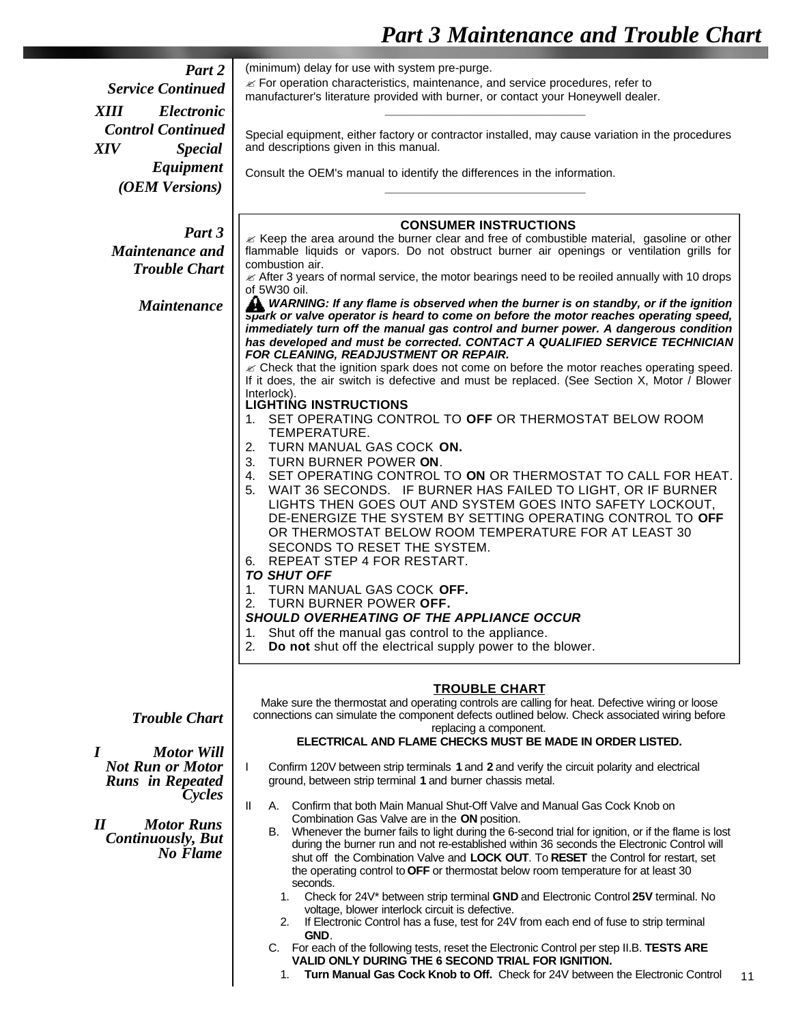# *Part 3 Maintenance and Trouble Chart*

| Part 2                                | (minimum) delay for use with system pre-purge.                                                                                                                               |  |  |  |  |
|---------------------------------------|------------------------------------------------------------------------------------------------------------------------------------------------------------------------------|--|--|--|--|
|                                       | $\mathcal{L}$ For operation characteristics, maintenance, and service procedures, refer to                                                                                   |  |  |  |  |
| <b>Service Continued</b>              | manufacturer's literature provided with burner, or contact your Honeywell dealer.                                                                                            |  |  |  |  |
| <b>XIII</b><br><b>Electronic</b>      |                                                                                                                                                                              |  |  |  |  |
| <b>Control Continued</b>              |                                                                                                                                                                              |  |  |  |  |
|                                       | Special equipment, either factory or contractor installed, may cause variation in the procedures<br>and descriptions given in this manual.                                   |  |  |  |  |
| <b>XIV</b><br><b>Special</b>          |                                                                                                                                                                              |  |  |  |  |
| Equipment                             | Consult the OEM's manual to identify the differences in the information.                                                                                                     |  |  |  |  |
| (OEM Versions)                        |                                                                                                                                                                              |  |  |  |  |
|                                       |                                                                                                                                                                              |  |  |  |  |
|                                       |                                                                                                                                                                              |  |  |  |  |
| Part 3                                | <b>CONSUMER INSTRUCTIONS</b><br>≤ Keep the area around the burner clear and free of combustible material, gasoline or other                                                  |  |  |  |  |
| <b>Maintenance and</b>                | flammable liquids or vapors. Do not obstruct burner air openings or ventilation grills for                                                                                   |  |  |  |  |
| <b>Trouble Chart</b>                  | combustion air.                                                                                                                                                              |  |  |  |  |
|                                       | $\mathcal{\mathcal{L}}$ After 3 years of normal service, the motor bearings need to be reoiled annually with 10 drops                                                        |  |  |  |  |
|                                       | of 5W30 oil.                                                                                                                                                                 |  |  |  |  |
| <b>Maintenance</b>                    | WARNING: If any flame is observed when the burner is on standby, or if the ignition                                                                                          |  |  |  |  |
|                                       | spark or valve operator is heard to come on before the motor reaches operating speed,<br>immediately turn off the manual gas control and burner power. A dangerous condition |  |  |  |  |
|                                       | has developed and must be corrected. CONTACT A QUALIFIED SERVICE TECHNICIAN                                                                                                  |  |  |  |  |
|                                       | FOR CLEANING, READJUSTMENT OR REPAIR.                                                                                                                                        |  |  |  |  |
|                                       | $\mathcal Z$ Check that the ignition spark does not come on before the motor reaches operating speed.                                                                        |  |  |  |  |
|                                       | If it does, the air switch is defective and must be replaced. (See Section X, Motor / Blower                                                                                 |  |  |  |  |
|                                       | Interlock).                                                                                                                                                                  |  |  |  |  |
|                                       | <b>LIGHTING INSTRUCTIONS</b><br>SET OPERATING CONTROL TO OFF OR THERMOSTAT BELOW ROOM<br>1.                                                                                  |  |  |  |  |
|                                       | TEMPERATURE.                                                                                                                                                                 |  |  |  |  |
|                                       | TURN MANUAL GAS COCK ON.<br>2.                                                                                                                                               |  |  |  |  |
|                                       | 3.<br>TURN BURNER POWER ON.                                                                                                                                                  |  |  |  |  |
|                                       | SET OPERATING CONTROL TO ON OR THERMOSTAT TO CALL FOR HEAT.<br>4.                                                                                                            |  |  |  |  |
|                                       | WAIT 36 SECONDS. IF BURNER HAS FAILED TO LIGHT, OR IF BURNER<br>5.                                                                                                           |  |  |  |  |
|                                       | LIGHTS THEN GOES OUT AND SYSTEM GOES INTO SAFETY LOCKOUT,                                                                                                                    |  |  |  |  |
|                                       | DE-ENERGIZE THE SYSTEM BY SETTING OPERATING CONTROL TO OFF                                                                                                                   |  |  |  |  |
|                                       | OR THERMOSTAT BELOW ROOM TEMPERATURE FOR AT LEAST 30                                                                                                                         |  |  |  |  |
|                                       | SECONDS TO RESET THE SYSTEM.                                                                                                                                                 |  |  |  |  |
|                                       | 6. REPEAT STEP 4 FOR RESTART.                                                                                                                                                |  |  |  |  |
|                                       | <b>TO SHUT OFF</b>                                                                                                                                                           |  |  |  |  |
|                                       | TURN MANUAL GAS COCK OFF.<br>1.                                                                                                                                              |  |  |  |  |
|                                       | TURN BURNER POWER OFF.<br>2.                                                                                                                                                 |  |  |  |  |
|                                       | SHOULD OVERHEATING OF THE APPLIANCE OCCUR                                                                                                                                    |  |  |  |  |
|                                       | Shut off the manual gas control to the appliance.<br>1.                                                                                                                      |  |  |  |  |
|                                       | Do not shut off the electrical supply power to the blower.<br>2.                                                                                                             |  |  |  |  |
|                                       |                                                                                                                                                                              |  |  |  |  |
|                                       | <b>TROUBLE CHART</b>                                                                                                                                                         |  |  |  |  |
|                                       | Make sure the thermostat and operating controls are calling for heat. Defective wiring or loose                                                                              |  |  |  |  |
| <b>Trouble Chart</b>                  | connections can simulate the component defects outlined below. Check associated wiring before                                                                                |  |  |  |  |
|                                       | replacing a component.                                                                                                                                                       |  |  |  |  |
| $\boldsymbol{I}$<br><b>Motor Will</b> | ELECTRICAL AND FLAME CHECKS MUST BE MADE IN ORDER LISTED.                                                                                                                    |  |  |  |  |
| <b>Not Run or Motor</b>               | Confirm 120V between strip terminals 1 and 2 and verify the circuit polarity and electrical<br>L                                                                             |  |  |  |  |
| <b>Runs</b> in Repeated               | ground, between strip terminal 1 and burner chassis metal.                                                                                                                   |  |  |  |  |
| <i>Cycles</i>                         |                                                                                                                                                                              |  |  |  |  |
|                                       | A. Confirm that both Main Manual Shut-Off Valve and Manual Gas Cock Knob on<br>Ш                                                                                             |  |  |  |  |
| <b>Motor Runs</b><br>$I\!I$           | Combination Gas Valve are in the ON position.                                                                                                                                |  |  |  |  |
| <b>Continuously, But</b>              | Whenever the burner fails to light during the 6-second trial for ignition, or if the flame is lost<br>В.                                                                     |  |  |  |  |
| No Flame                              | during the burner run and not re-established within 36 seconds the Electronic Control will                                                                                   |  |  |  |  |
|                                       | shut off the Combination Valve and LOCK OUT. To RESET the Control for restart, set<br>the operating control to OFF or thermostat below room temperature for at least 30      |  |  |  |  |
|                                       | seconds.                                                                                                                                                                     |  |  |  |  |
|                                       | Check for 24V* between strip terminal GND and Electronic Control 25V terminal. No<br>1.                                                                                      |  |  |  |  |
|                                       | voltage, blower interlock circuit is defective.                                                                                                                              |  |  |  |  |
|                                       | If Electronic Control has a fuse, test for 24V from each end of fuse to strip terminal<br>2.                                                                                 |  |  |  |  |
|                                       | GND.                                                                                                                                                                         |  |  |  |  |
|                                       | C. For each of the following tests, reset the Electronic Control per step II.B. TESTS ARE<br>VALID ONLY DURING THE 6 SECOND TRIAL FOR IGNITION.                              |  |  |  |  |
|                                       | Turn Manual Gas Cock Knob to Off. Check for 24V between the Electronic Control<br>1.                                                                                         |  |  |  |  |
|                                       |                                                                                                                                                                              |  |  |  |  |